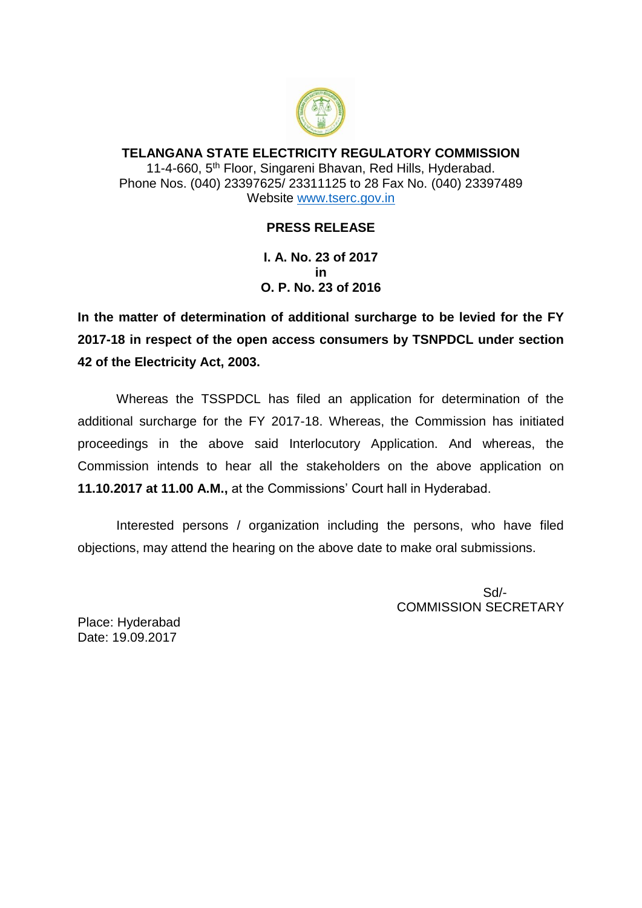

## **TELANGANA STATE ELECTRICITY REGULATORY COMMISSION** 11-4-660, 5<sup>th</sup> Floor, Singareni Bhavan, Red Hills, Hyderabad. Phone Nos. (040) 23397625/ 23311125 to 28 Fax No. (040) 23397489 Website [www.tserc.gov.in](http://www.tserc.gov.in/)

## **PRESS RELEASE**

**I. A. No. 23 of 2017 in O. P. No. 23 of 2016**

**In the matter of determination of additional surcharge to be levied for the FY 2017-18 in respect of the open access consumers by TSNPDCL under section 42 of the Electricity Act, 2003.** 

Whereas the TSSPDCL has filed an application for determination of the additional surcharge for the FY 2017-18. Whereas, the Commission has initiated proceedings in the above said Interlocutory Application. And whereas, the Commission intends to hear all the stakeholders on the above application on **11.10.2017 at 11.00 A.M.,** at the Commissions' Court hall in Hyderabad.

Interested persons / organization including the persons, who have filed objections, may attend the hearing on the above date to make oral submissions.

> Sd/- COMMISSION SECRETARY

Place: Hyderabad Date: 19.09.2017